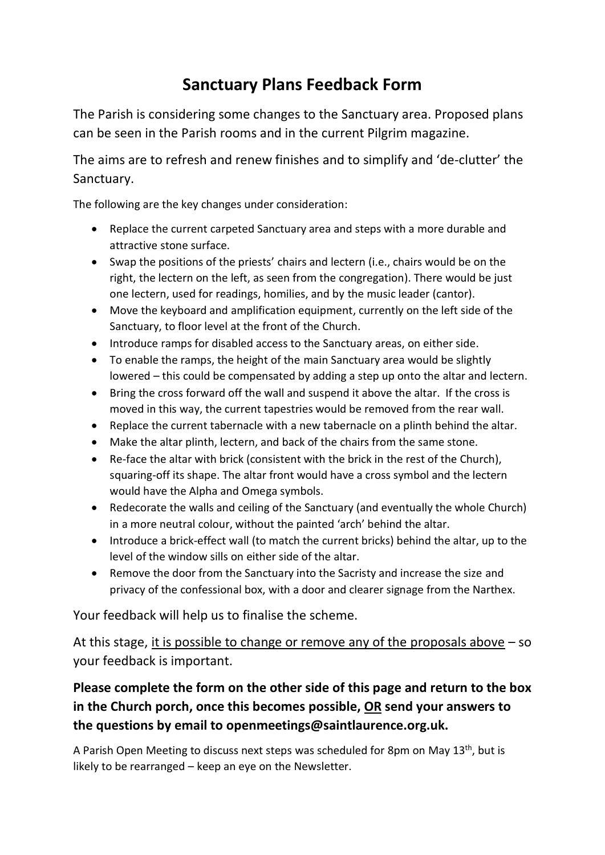## **Sanctuary Plans Feedback Form**

The Parish is considering some changes to the Sanctuary area. Proposed plans can be seen in the Parish rooms and in the current Pilgrim magazine.

The aims are to refresh and renew finishes and to simplify and 'de-clutter' the Sanctuary.

The following are the key changes under consideration:

- Replace the current carpeted Sanctuary area and steps with a more durable and attractive stone surface.
- Swap the positions of the priests' chairs and lectern (i.e., chairs would be on the right, the lectern on the left, as seen from the congregation). There would be just one lectern, used for readings, homilies, and by the music leader (cantor).
- Move the keyboard and amplification equipment, currently on the left side of the Sanctuary, to floor level at the front of the Church.
- Introduce ramps for disabled access to the Sanctuary areas, on either side.
- To enable the ramps, the height of the main Sanctuary area would be slightly lowered – this could be compensated by adding a step up onto the altar and lectern.
- Bring the cross forward off the wall and suspend it above the altar. If the cross is moved in this way, the current tapestries would be removed from the rear wall.
- Replace the current tabernacle with a new tabernacle on a plinth behind the altar.
- Make the altar plinth, lectern, and back of the chairs from the same stone.
- Re-face the altar with brick (consistent with the brick in the rest of the Church), squaring-off its shape. The altar front would have a cross symbol and the lectern would have the Alpha and Omega symbols.
- Redecorate the walls and ceiling of the Sanctuary (and eventually the whole Church) in a more neutral colour, without the painted 'arch' behind the altar.
- Introduce a brick-effect wall (to match the current bricks) behind the altar, up to the level of the window sills on either side of the altar.
- Remove the door from the Sanctuary into the Sacristy and increase the size and privacy of the confessional box, with a door and clearer signage from the Narthex.

Your feedback will help us to finalise the scheme.

At this stage, it is possible to change or remove any of the proposals above – so your feedback is important.

## **Please complete the form on the other side of this page and return to the box in the Church porch, once this becomes possible, OR send your answers to the questions by email to openmeetings@saintlaurence.org.uk.**

A Parish Open Meeting to discuss next steps was scheduled for 8pm on May 13<sup>th</sup>, but is likely to be rearranged – keep an eye on the Newsletter.